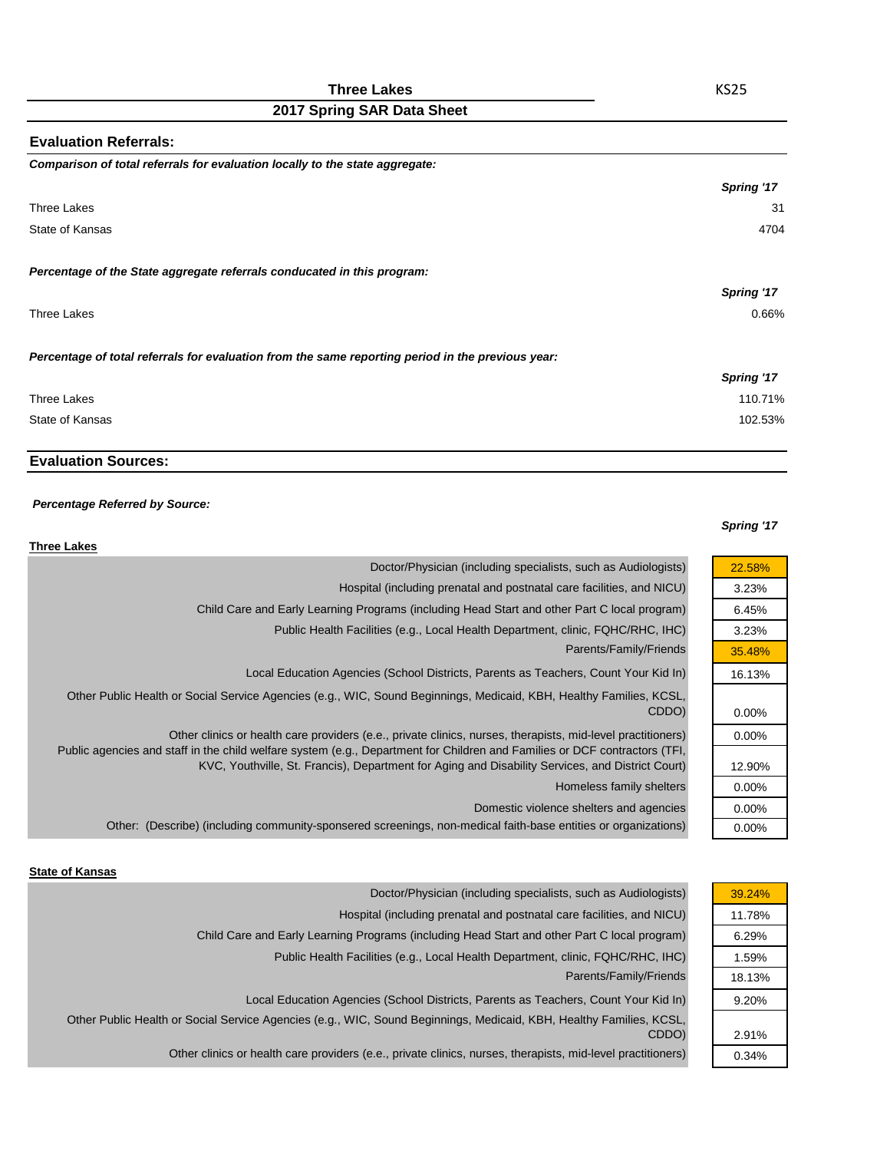### **Three Lakes**

# **2017 Spring SAR Data Sheet**

| <b>Evaluation Referrals:</b>                                                                      |            |
|---------------------------------------------------------------------------------------------------|------------|
| Comparison of total referrals for evaluation locally to the state aggregate:                      |            |
|                                                                                                   | Spring '17 |
| Three Lakes                                                                                       | 31         |
| State of Kansas                                                                                   | 4704       |
| Percentage of the State aggregate referrals conducated in this program:                           |            |
|                                                                                                   | Spring '17 |
| Three Lakes                                                                                       | 0.66%      |
| Percentage of total referrals for evaluation from the same reporting period in the previous year: |            |
|                                                                                                   | Spring '17 |
| Three Lakes                                                                                       | 110.71%    |
| State of Kansas                                                                                   | 102.53%    |
|                                                                                                   |            |

# **Evaluation Sources:**

#### *Percentage Referred by Source:*

#### *Spring '17*

22.58% 3.23% 6.45% 3.23% 35.48% 16.13%

0.00% 0.00%

12.90% 0.00% 0.00% 0.00%

| <b>Three Lakes</b>                                                                                                                                                                                                             |  |
|--------------------------------------------------------------------------------------------------------------------------------------------------------------------------------------------------------------------------------|--|
| Doctor/Physician (including specialists, such as Audiologists)                                                                                                                                                                 |  |
| Hospital (including prenatal and postnatal care facilities, and NICU)                                                                                                                                                          |  |
| Child Care and Early Learning Programs (including Head Start and other Part C local program)                                                                                                                                   |  |
| Public Health Facilities (e.g., Local Health Department, clinic, FQHC/RHC, IHC)                                                                                                                                                |  |
| Parents/Family/Friends                                                                                                                                                                                                         |  |
| Local Education Agencies (School Districts, Parents as Teachers, Count Your Kid In)                                                                                                                                            |  |
| Other Public Health or Social Service Agencies (e.g., WIC, Sound Beginnings, Medicaid, KBH, Healthy Families, KCSL,<br>CDDO)                                                                                                   |  |
| Other clinics or health care providers (e.e., private clinics, nurses, therapists, mid-level practitioners)                                                                                                                    |  |
| Public agencies and staff in the child welfare system (e.g., Department for Children and Families or DCF contractors (TFI,<br>KVC, Youthville, St. Francis), Department for Aging and Disability Services, and District Court) |  |
| Homeless family shelters                                                                                                                                                                                                       |  |
| Domestic violence shelters and agencies                                                                                                                                                                                        |  |
| Other: (Describe) (including community-sponsered screenings, non-medical faith-base entities or organizations)                                                                                                                 |  |

#### **State of Kansas**

| Doctor/Physician (including specialists, such as Audiologists)                                                      | 39.24% |
|---------------------------------------------------------------------------------------------------------------------|--------|
| Hospital (including prenatal and postnatal care facilities, and NICU)                                               | 11.78% |
| Child Care and Early Learning Programs (including Head Start and other Part C local program)                        | 6.29%  |
| Public Health Facilities (e.g., Local Health Department, clinic, FQHC/RHC, IHC)                                     | 1.59%  |
| Parents/Family/Friends                                                                                              | 18.13% |
| Local Education Agencies (School Districts, Parents as Teachers, Count Your Kid In)                                 | 9.20%  |
| Other Public Health or Social Service Agencies (e.g., WIC, Sound Beginnings, Medicaid, KBH, Healthy Families, KCSL, |        |
| CDDO)                                                                                                               | 2.91%  |
| Other clinics or health care providers (e.e., private clinics, nurses, therapists, mid-level practitioners)         | 0.34%  |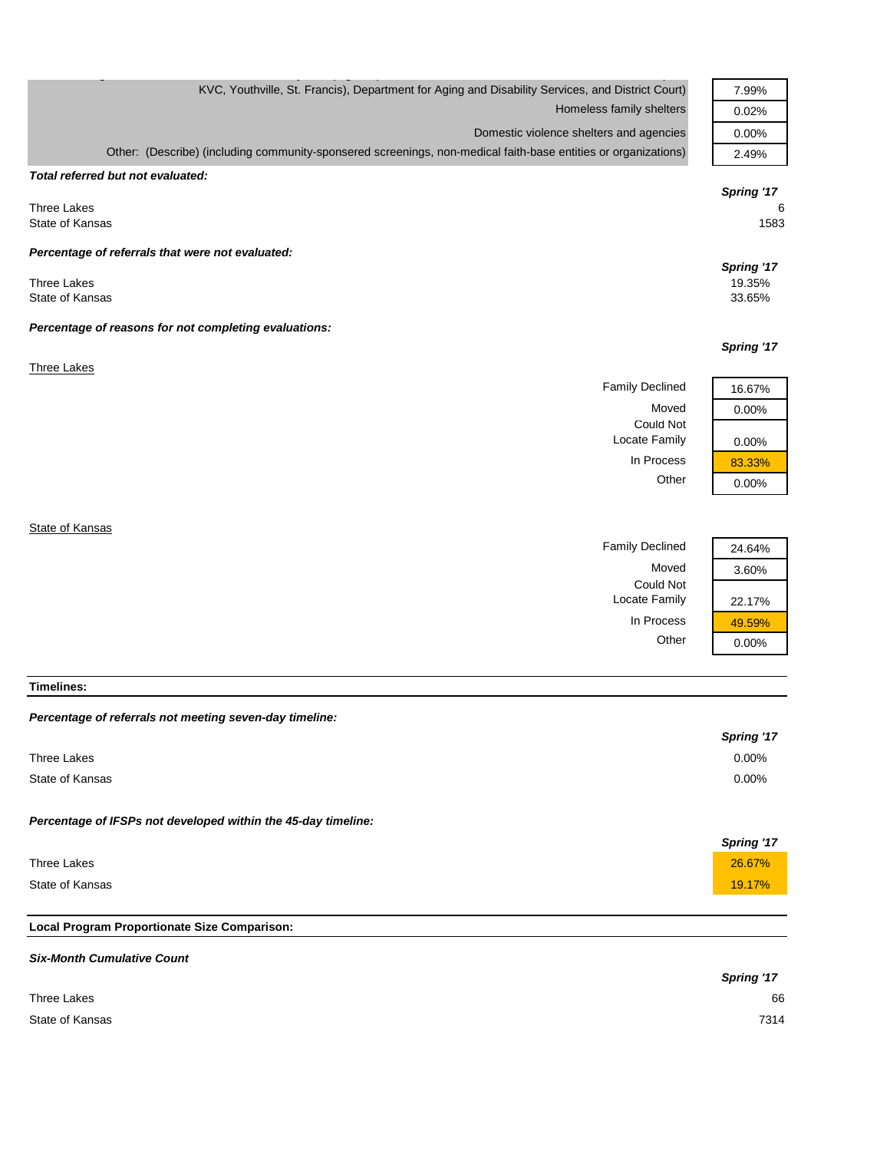| KVC, Youthville, St. Francis), Department for Aging and Disability Services, and District Court)               |                                         | 7.99%                          |
|----------------------------------------------------------------------------------------------------------------|-----------------------------------------|--------------------------------|
|                                                                                                                | Homeless family shelters                | 0.02%                          |
|                                                                                                                | Domestic violence shelters and agencies | 0.00%                          |
| Other: (Describe) (including community-sponsered screenings, non-medical faith-base entities or organizations) |                                         | 2.49%                          |
| Total referred but not evaluated:                                                                              |                                         |                                |
| <b>Three Lakes</b><br>State of Kansas                                                                          |                                         | Spring '17<br>6<br>1583        |
| Percentage of referrals that were not evaluated:                                                               |                                         |                                |
| <b>Three Lakes</b><br>State of Kansas                                                                          |                                         | Spring '17<br>19.35%<br>33.65% |
| Percentage of reasons for not completing evaluations:                                                          |                                         |                                |
|                                                                                                                |                                         | Spring '17                     |
| <b>Three Lakes</b>                                                                                             |                                         |                                |
|                                                                                                                | <b>Family Declined</b>                  | 16.67%                         |
|                                                                                                                | Moved                                   | 0.00%                          |
|                                                                                                                | <b>Could Not</b><br>Locate Family       | 0.00%                          |
|                                                                                                                | In Process                              | 83.33%                         |
|                                                                                                                | Other                                   | 0.00%                          |
|                                                                                                                |                                         |                                |
|                                                                                                                |                                         |                                |

**State of Kansas** 

| <b>Family Declined</b> | 24.64% |
|------------------------|--------|
| Moved                  | 3.60%  |
| Could Not              |        |
| Locate Family          | 22.17% |
| In Process             | 49.59% |
| Other                  |        |

| eclined       | 24.64% |
|---------------|--------|
| Moved         | 3.60%  |
| uld Not       |        |
| Family        | 22.17% |
| <b>rocess</b> | 49.59% |
| Other         | 0.00%  |

**Timelines:**

# *Percentage of referrals not meeting seven-day timeline:*

|                                                               | Spring '17 |
|---------------------------------------------------------------|------------|
| Three Lakes                                                   | 0.00%      |
| State of Kansas                                               | $0.00\%$   |
| Percentage of IFSPs not developed within the 45-day timeline: |            |
|                                                               | Spring '17 |
| Three Lakes                                                   | 26.67%     |
| State of Kansas                                               | 19.17%     |

# **Local Program Proportionate Size Comparison:**

| <b>Six-Month Cumulative Count</b> |            |
|-----------------------------------|------------|
|                                   | Spring '17 |
| Three Lakes                       | 66         |
| State of Kansas                   | 7314       |